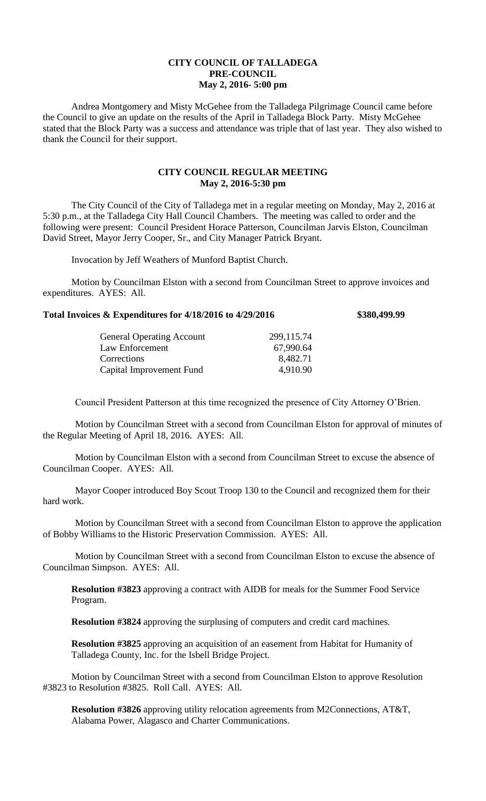## **CITY COUNCIL OF TALLADEGA PRE-COUNCIL May 2, 2016- 5:00 pm**

Andrea Montgomery and Misty McGehee from the Talladega Pilgrimage Council came before the Council to give an update on the results of the April in Talladega Block Party. Misty McGehee stated that the Block Party was a success and attendance was triple that of last year. They also wished to thank the Council for their support.

## **CITY COUNCIL REGULAR MEETING May 2, 2016-5:30 pm**

The City Council of the City of Talladega met in a regular meeting on Monday, May 2, 2016 at 5:30 p.m., at the Talladega City Hall Council Chambers. The meeting was called to order and the following were present: Council President Horace Patterson, Councilman Jarvis Elston, Councilman David Street, Mayor Jerry Cooper, Sr., and City Manager Patrick Bryant.

Invocation by Jeff Weathers of Munford Baptist Church.

Motion by Councilman Elston with a second from Councilman Street to approve invoices and expenditures. AYES: All.

## **Total Invoices & Expenditures for 4/18/2016 to 4/29/2016 \$380,499.99**

| <b>General Operating Account</b> | 299,115.74 |
|----------------------------------|------------|
| Law Enforcement                  | 67,990.64  |
| Corrections                      | 8,482.71   |
| Capital Improvement Fund         | 4,910.90   |

Council President Patterson at this time recognized the presence of City Attorney O'Brien.

Motion by Councilman Street with a second from Councilman Elston for approval of minutes of the Regular Meeting of April 18, 2016. AYES: All.

Motion by Councilman Elston with a second from Councilman Street to excuse the absence of Councilman Cooper. AYES: All.

Mayor Cooper introduced Boy Scout Troop 130 to the Council and recognized them for their hard work.

Motion by Councilman Street with a second from Councilman Elston to approve the application of Bobby Williams to the Historic Preservation Commission. AYES: All.

Motion by Councilman Street with a second from Councilman Elston to excuse the absence of Councilman Simpson. AYES: All.

**Resolution #3823** approving a contract with AIDB for meals for the Summer Food Service Program.

**Resolution #3824** approving the surplusing of computers and credit card machines.

**Resolution #3825** approving an acquisition of an easement from Habitat for Humanity of Talladega County, Inc. for the Isbell Bridge Project.

Motion by Councilman Street with a second from Councilman Elston to approve Resolution #3823 to Resolution #3825. Roll Call. AYES: All.

**Resolution #3826** approving utility relocation agreements from M2Connections, AT&T, Alabama Power, Alagasco and Charter Communications.